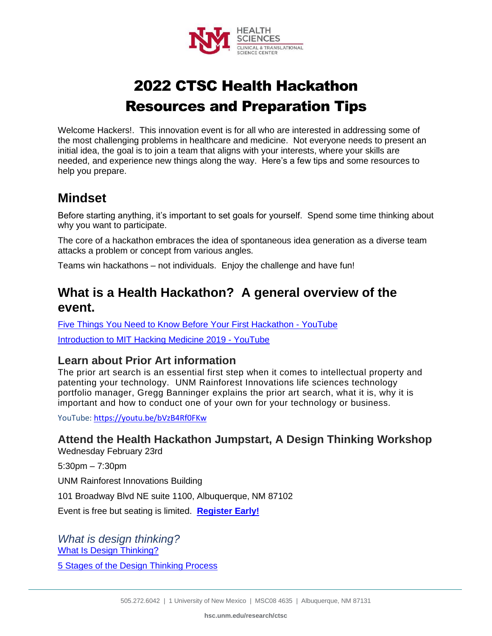

# 2022 CTSC Health Hackathon Resources and Preparation Tips

Welcome Hackers!. This innovation event is for all who are interested in addressing some of the most challenging problems in healthcare and medicine. Not everyone needs to present an initial idea, the goal is to join a team that aligns with your interests, where your skills are needed, and experience new things along the way. Here's a few tips and some resources to help you prepare.

## **Mindset**

Before starting anything, it's important to set goals for yourself. Spend some time thinking about why you want to participate.

The core of a hackathon embraces the idea of spontaneous idea generation as a diverse team attacks a problem or concept from various angles.

Teams win hackathons – not individuals. Enjoy the challenge and have fun!

# **What is a Health Hackathon? A general overview of the event.**

[Five Things You Need to Know Before Your First Hackathon -](https://www.youtube.com/watch?app=desktop&v=alVDGvS55hw) YouTube [Introduction to MIT Hacking Medicine 2019 -](https://www.youtube.com/watch?v=qdqBY_wluT8) YouTube

#### **Learn about Prior Art information**

The prior art search is an essential first step when it comes to intellectual property and patenting your technology. UNM Rainforest Innovations life sciences technology portfolio manager, Gregg Banninger explains the prior art search, what it is, why it is important and how to conduct one of your own for your technology or business.

YouTube: [https://youtu.be/bVzB4Rf0FKw](https://urldefense.com/v3/__https:/youtu.be/bVzB4Rf0FKw__;!!KXH1hvEXyw!bhklF4vWqmdQImeUZjwX6lJ9xB3ldWYR2Gzqmnxlqra2fwz3JVmTd3iCxOwUX4U_cCYifHRLjGAWvEmte1itgh4gDJ--C3cV$)

**Attend the Health Hackathon Jumpstart, A Design Thinking Workshop**

Wednesday February 23rd

5:30pm – 7:30pm

UNM Rainforest Innovations Building

101 Broadway Blvd NE suite 1100, Albuquerque, NM 87102

Event is free but seating is limited. **[Register](https://app.smartsheet.com/b/form/a1925d94efc747ee9b0b608d894fd653) Early!**

*What is design thinking?* [What Is Design Thinking?](https://www.youtube.com/watch?v=a7sEoEvT8l8)

[5 Stages of the Design Thinking Process](https://www.youtube.com/watch?v=1YZG210C2Fc)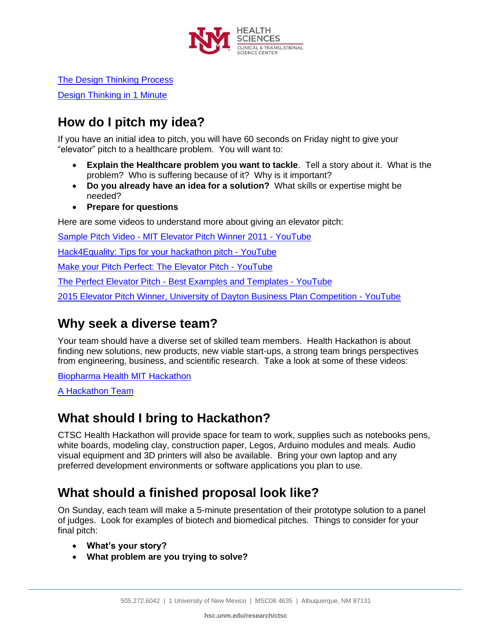

[The Design Thinking Process](https://www.youtube.com/watch?v=_r0VX-aU_T8)

[Design Thinking in 1 Minute](https://www.youtube.com/watch?v=qCFKlIBV_uI)

# **How do I pitch my idea?**

If you have an initial idea to pitch, you will have 60 seconds on Friday night to give your "elevator" pitch to a healthcare problem. You will want to:

- **Explain the Healthcare problem you want to tackle**. Tell a story about it. What is the problem? Who is suffering because of it? Why is it important?
- **Do you already have an idea for a solution?** What skills or expertise might be needed?
- **Prepare for questions**

Here are some videos to understand more about giving an elevator pitch:

Sample Pitch Video - [MIT Elevator Pitch Winner 2011 -](https://www.youtube.com/watch?v=n0BKBcSZaA0) YouTube

[Hack4Equality: Tips for your hackathon pitch -](https://www.youtube.com/watch?v=a8JVKZidmv8) YouTube

[Make your Pitch Perfect: The Elevator Pitch -](https://www.youtube.com/watch?v=bZTWx2bftaw) YouTube

The Perfect Elevator Pitch - [Best Examples and Templates -](https://www.youtube.com/watch?v=r-iETptU7JY) YouTube

[2015 Elevator Pitch Winner, University of Dayton Business Plan Competition -](https://www.youtube.com/watch?v=YKHg1wOsZx0) YouTube

#### **Why seek a diverse team?**

Your team should have a diverse set of skilled team members. Health Hackathon is about finding new solutions, new products, new viable start-ups, a strong team brings perspectives from engineering, business, and scientific research. Take a look at some of these videos:

[Biopharma Health MIT Hackathon](https://www.youtube.com/watch?v=1QDLes3g4kc)

[A Hackathon Team](https://www.youtube.com/watch?v=LrWwklK_4cE)

## **What should I bring to Hackathon?**

CTSC Health Hackathon will provide space for team to work, supplies such as notebooks pens, white boards, modeling clay, construction paper, Legos, Arduino modules and meals. Audio visual equipment and 3D printers will also be available. Bring your own laptop and any preferred development environments or software applications you plan to use.

# **What should a finished proposal look like?**

On Sunday, each team will make a 5-minute presentation of their prototype solution to a panel of judges. Look for examples of biotech and biomedical pitches. Things to consider for your final pitch:

- **What's your story?**
- **What problem are you trying to solve?**